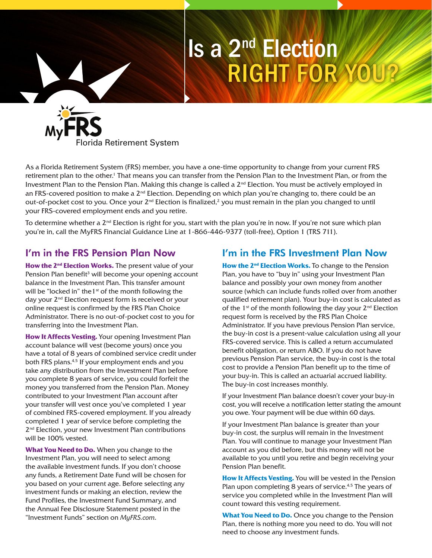# Is a 2nd Election RIGHT FOR YOU?



As a Florida Retirement System (FRS) member, you have a one-time opportunity to change from your current FRS retirement plan to the other.<sup>1</sup> That means you can transfer from the Pension Plan to the Investment Plan, or from the Investment Plan to the Pension Plan. Making this change is called a 2<sup>nd</sup> Election. You must be actively employed in an FRS-covered position to make a  $2<sup>nd</sup>$  Election. Depending on which plan you're changing to, there could be an out-of-pocket cost to you. Once your  $2^{nd}$  Election is finalized,<sup>2</sup> you must remain in the plan you changed to until your FRS-covered employment ends and you retire.

To determine whether a  $2^{nd}$  Election is right for you, start with the plan you're in now. If you're not sure which plan you're in, call the MyFRS Financial Guidance Line at 1-866-446-9377 (toll-free), Option 1 (TRS 711).

## I'm in the FRS Pension Plan Now

How the 2<sup>nd</sup> Election Works. The present value of your Pension Plan benefit<sup>3</sup> will become your opening account balance in the Investment Plan. This transfer amount will be "locked in" the 1<sup>st</sup> of the month following the day your 2<sup>nd</sup> Election request form is received or your online request is confirmed by the FRS Plan Choice Administrator. There is no out-of-pocket cost to you for transferring into the Investment Plan.

**How It Affects Vesting.** Your opening Investment Plan account balance will vest (become yours) once you have a total of 8 years of combined service credit under both FRS plans.4,5 If your employment ends and you take any distribution from the Investment Plan before you complete 8 years of service, you could forfeit the money you transferred from the Pension Plan. Money contributed to your Investment Plan account after your transfer will vest once you've completed 1 year of combined FRS-covered employment. If you already completed 1 year of service before completing the 2<sup>nd</sup> Election, your new Investment Plan contributions will be 100% vested.

**What You Need to Do.** When you change to the Investment Plan, you will need to select among the available investment funds. If you don't choose any funds, a Retirement Date Fund will be chosen for you based on your current age. Before selecting any investment funds or making an election, review the Fund Profiles, the Investment Fund Summary, and the Annual Fee Disclosure Statement posted in the "Investment Funds" section on *MyFRS.com*.

## I'm in the FRS Investment Plan Now

**How the 2nd Election Works.** To change to the Pension Plan, you have to "buy in" using your Investment Plan balance and possibly your own money from another source (which can include funds rolled over from another qualified retirement plan). Your buy-in cost is calculated as of the 1<sup>st</sup> of the month following the day your  $2<sup>nd</sup>$  Election request form is received by the FRS Plan Choice Administrator. If you have previous Pension Plan service, the buy-in cost is a present-value calculation using all your FRS-covered service. This is called a return accumulated benefit obligation, or return ABO. If you do not have previous Pension Plan service, the buy-in cost is the total cost to provide a Pension Plan benefit up to the time of your buy-in. This is called an actuarial accrued liability. The buy-in cost increases monthly.

If your Investment Plan balance doesn't cover your buy-in cost, you will receive a notification letter stating the amount you owe. Your payment will be due within 60 days.

If your Investment Plan balance is greater than your buy-in cost, the surplus will remain in the Investment Plan. You will continue to manage your Investment Plan account as you did before, but this money will not be available to you until you retire and begin receiving your Pension Plan benefit.

**How It Affects Vesting.** You will be vested in the Pension Plan upon completing 8 years of service.<sup>4,5</sup> The years of service you completed while in the Investment Plan will count toward this vesting requirement.

**What You Need to Do.** Once you change to the Pension Plan, there is nothing more you need to do. You will not need to choose any investment funds.